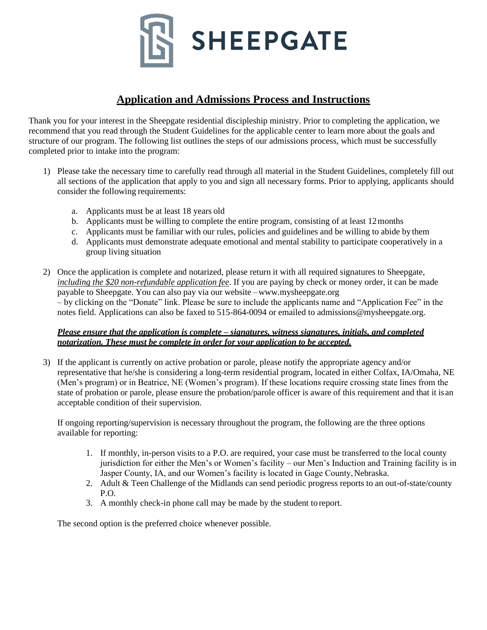

## **Application and Admissions Process and Instructions**

Thank you for your interest in the Sheepgate residential discipleship ministry. Prior to completing the application, we recommend that you read through the Student Guidelines for the applicable center to learn more about the goals and structure of our program. The following list outlines the steps of our admissions process, which must be successfully completed prior to intake into the program:

- 1) Please take the necessary time to carefully read through all material in the Student Guidelines, completely fill out all sections of the application that apply to you and sign all necessary forms. Prior to applying, applicants should consider the following requirements:
	- a. Applicants must be at least 18 years old
	- b. Applicants must be willing to complete the entire program, consisting of at least 12months
	- c. Applicants must be familiar with our rules, policies and guidelines and be willing to abide by them
	- d. Applicants must demonstrate adequate emotional and mental stability to participate cooperatively in a group living situation
- 2) Once the application is complete and notarized, please return it with all required signatures to Sheepgate, *including the \$20 non-refundable application fee*. If you are paying by check or money order, it can be made payable to Sheepgate. You can also pay via our website –www.mysheepgate.org – [by clickin](http://www.tcmid.org/)g on the "Donate" link. Please be sure to include the applicants name and "Application Fee" in the notes field. Applications can also be faxed to 515-864-0094 or emailed to admissions@mysheepgate.org.

### *[Please ensure that t](mailto:admissions@tcmid.org)he application is complete – signatures, witness signatures, initials, and completed notarization. These must be complete in order for your application to be accepted.*

3) If the applicant is currently on active probation or parole, please notify the appropriate agency and/or representative that he/she is considering a long-term residential program, located in either Colfax, IA/Omaha, NE (Men's program) or in Beatrice, NE (Women's program). If these locations require crossing state lines from the state of probation or parole, please ensure the probation/parole officer is aware of this requirement and that it isan acceptable condition of their supervision.

If ongoing reporting/supervision is necessary throughout the program, the following are the three options available for reporting:

- 1. If monthly, in-person visits to a P.O. are required, your case must be transferred to the local county jurisdiction for either the Men's or Women's facility – our Men's Induction and Training facility is in Jasper County, IA, and our Women's facility is located in Gage County, Nebraska.
- 2. Adult & Teen Challenge of the Midlands can send periodic progress reports to an out-of-state/county P.O.
- 3. A monthly check-in phone call may be made by the student to report.

The second option is the preferred choice whenever possible.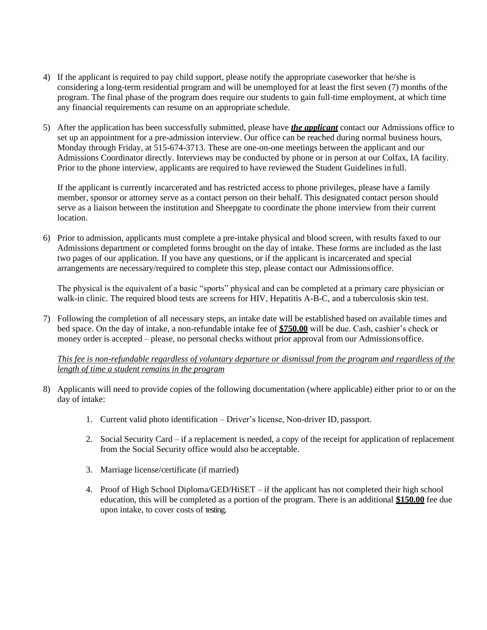- 4) If the applicant is required to pay child support, please notify the appropriate caseworker that he/she is considering a long-term residential program and will be unemployed for at least the first seven (7) months ofthe program. The final phase of the program does require our students to gain full-time employment, at which time any financial requirements can resume on an appropriate schedule.
- 5) After the application has been successfully submitted, please have *the applicant* contact our Admissions office to set up an appointment for a pre-admission interview. Our office can be reached during normal business hours, Monday through Friday, at 515-674-3713. These are one-on-one meetings between the applicant and our Admissions Coordinator directly. Interviews may be conducted by phone or in person at our Colfax, IA facility. Prior to the phone interview, applicants are required to have reviewed the Student Guidelines infull.

If the applicant is currently incarcerated and has restricted access to phone privileges, please have a family member, sponsor or attorney serve as a contact person on their behalf. This designated contact person should serve as a liaison between the institution and Sheepgate to coordinate the phone interview from their current location.

6) Prior to admission, applicants must complete a pre-intake physical and blood screen, with results faxed to our Admissions department or completed forms brought on the day of intake. These forms are included as the last two pages of our application. If you have any questions, or if the applicant is incarcerated and special arrangements are necessary/required to complete this step, please contact our Admissionsoffice.

The physical is the equivalent of a basic "sports" physical and can be completed at a primary care physician or walk-in clinic. The required blood tests are screens for HIV, Hepatitis A-B-C, and a tuberculosis skin test.

7) Following the completion of all necessary steps, an intake date will be established based on available times and bed space. On the day of intake, a non-refundable intake fee of **\$750.00** will be due. Cash, cashier's check or money order is accepted – please, no personal checks without prior approval from our Admissionsoffice.

*This fee is non-refundable regardless of voluntary departure or dismissal from the program and regardless of the length of time a student remains in the program*

- 8) Applicants will need to provide copies of the following documentation (where applicable) either prior to or on the day of intake:
	- 1. Current valid photo identification Driver's license, Non-driver ID, passport.
	- 2. Social Security Card if a replacement is needed, a copy of the receipt for application of replacement from the Social Security office would also be acceptable.
	- 3. Marriage license/certificate (if married)
	- 4. Proof of High School Diploma/GED/HiSET if the applicant has not completed their high school education, this will be completed as a portion of the program. There is an additional **\$150.00** fee due upon intake, to cover costs of testing.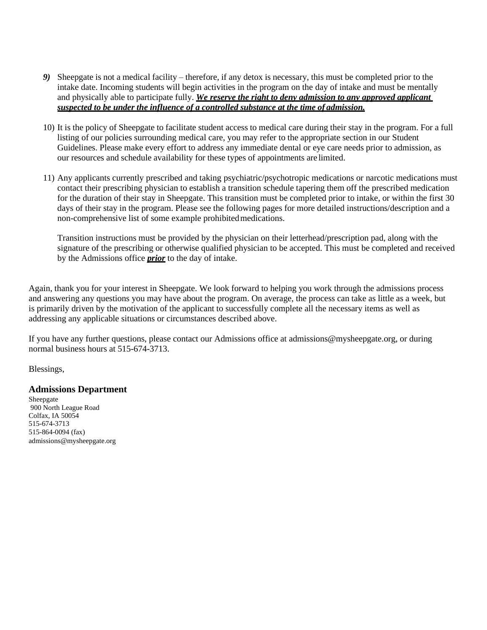- *9)* Sheepgate is not a medical facility therefore, if any detox is necessary, this must be completed prior to the intake date. Incoming students will begin activities in the program on the day of intake and must be mentally and physically able to participate fully. *We reserve the right to deny admission to any approved applicant suspected to be under the influence of a controlled substance at the time of admission.*
- 10) It is the policy of Sheepgate to facilitate student access to medical care during their stay in the program. For a full listing of our policies surrounding medical care, you may refer to the appropriate section in our Student Guidelines. Please make every effort to address any immediate dental or eye care needs prior to admission, as our resources and schedule availability for these types of appointments are limited.
- 11) Any applicants currently prescribed and taking psychiatric/psychotropic medications or narcotic medications must contact their prescribing physician to establish a transition schedule tapering them off the prescribed medication for the duration of their stay in Sheepgate. This transition must be completed prior to intake, or within the first 30 days of their stay in the program. Please see the following pages for more detailed instructions/description and a non-comprehensive list of some example prohibitedmedications.

Transition instructions must be provided by the physician on their letterhead/prescription pad, along with the signature of the prescribing or otherwise qualified physician to be accepted. This must be completed and received by the Admissions office *prior* to the day of intake.

Again, thank you for your interest in Sheepgate. We look forward to helping you work through the admissions process and answering any questions you may have about the program. On average, the process can take as little as a week, but is primarily driven by the motivation of the applicant to successfully complete all the necessary items as well as addressing any applicable situations or circumstances described above.

If you have any further questions, please contact our Admissions office at admissions@mysheepgate.or[g, or during](mailto:admissions@tcmid.org)  [normal busi](mailto:admissions@tcmid.org)ness hours at 515-674-3713.

Blessings,

#### **Admissions Department**

Sheepgate 900 North League Road Colfax, IA 50054 515-674-3713 515-864-0094 (fax) [admissions@mysheepgate.org](mailto:admissions@tcmid.org)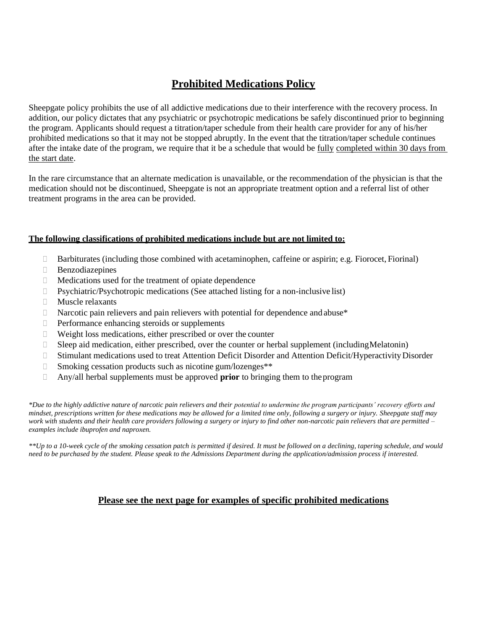# **[Prohibited Medica](mailto:admissions@tcmid.org)tions Policy**

Sheepgate policy prohibits the use of all addictive medications due to their interference with the recovery process. In addition, our policy dictates that any psychiatric or psychotropic medications be safely discontinued prior to beginning the program. Applicants should request a titration/taper schedule from their health care provider for any of his/her prohibited medications so that it may not be stopped abruptly. In the event that the titration/taper schedule continues after the intake date of the program, we require that it be a schedule that would be fully completed within 30 days from the start date.

In the rare circumstance that an alternate medication is unavailable, or the recommendation of the physician is that the medication should not be discontinued, Sheepgate is not an appropriate treatment option and a referral list of other treatment programs in the area can be provided.

### **The following classifications of prohibited medications include but are not limited to:**

- $\Box$  Barbiturates (including those combined with acetaminophen, caffeine or aspirin; e.g. Fiorocet, Fiorinal)
- Benzodiazepines
- Medications used for the treatment of opiate dependence
- $\Box$  Psychiatric/Psychotropic medications (See attached listing for a non-inclusive list)
- **Muscle relaxants**
- $\Box$  Narcotic pain relievers and pain relievers with potential for dependence and abuse\*
- $\Box$  Performance enhancing steroids or supplements
- Weight loss medications, either prescribed or over the counter
- Sleep aid medication, either prescribed, over the counter or herbal supplement (includingMelatonin)
- □ Stimulant medications used to treat Attention Deficit Disorder and Attention Deficit/Hyperactivity Disorder
- Smoking cessation products such as nicotine gum/lozenges\*\*
- Any/all herbal supplements must be approved **prior** to bringing them to theprogram

*\*Due to the highly addictive nature of narcotic pain relievers and their potential to undermine the program participants' recovery efforts and mindset, prescriptions written for these medications may be allowed for a limited time only, following a surgery or injury. Sheepgate staff may work with students and their health care providers following a surgery or injury to find other non-narcotic pain relievers that are permitted – examples include ibuprofen and naproxen.*

*\*\*Up to a 10-week cycle of the smoking cessation patch is permitted if desired. It must be followed on a declining, tapering schedule, and would need to be purchased by the student. Please speak to the Admissions Department during the application/admission process if interested.*

### **Please see the next page for examples of specific prohibited medications**